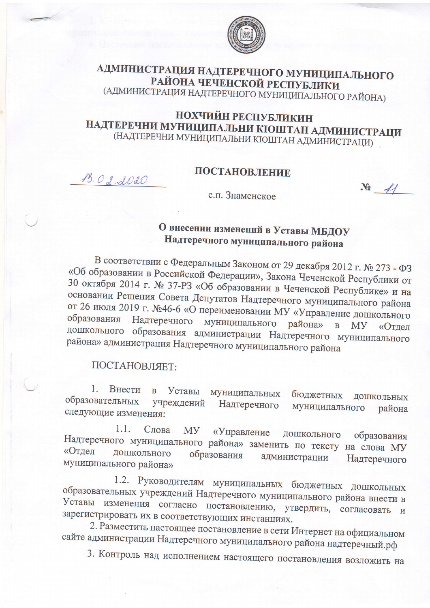

## АДМИНИСТРАЦИЯ НАДТЕРЕЧНОГО МУНИЦИПАЛЬНОГО РАЙОНА ЧЕЧЕНСКОЙ РЕСПУБЛИКИ (АДМИНИСТРАЦИЯ НАДТЕРЕЧНОГО МУНИЦИПАЛЬНОГО РАЙОНА)

### НОХЧИЙН РЕСПУБЛИКИН НАДТЕРЕЧНИ МУНИЦИПАЛЬНИ КІОШТАН АДМИНИСТРАЦИ (НАДТЕРЕЧНИ МУНИЦИПАЛЬНИ КІОШТАН АДМИНИСТРАЦИ)

#### ПОСТАНОВЛЕНИЕ

 $N<sup>2</sup>$   $41$ 

с.п. Знаменское

# О внесении изменений в Уставы МБДОУ Надтеречного муниципального района

В соответствии с Федеральным Законом от 29 декабря 2012 г. № 273 - ФЗ «Об образовании в Российской Федерации», Закона Чеченской Республики от 30 октября 2014 г. № 37-РЗ «Об образовании в Чеченской Республике» и на основании Решения Совета Депутатов Надтеречного муниципального района от 26 июля 2019 г. №46-6 «О переименовании МУ «Управление дошкольного образования Надтеречного муниципального района» B MY «Отдел дошкольного образования администрации Надтеречного муниципального района» администрация Надтеречного муниципального района

#### ПОСТАНОВЛЯЕТ:

13.02.2020

1. Внести в Уставы муниципальных бюджетных ДОШКОЛЬНЫХ образовательных учреждений Надтеречного муниципального района следующие изменения:

1.1. Слова МУ «Управление дошкольного образования Надтеречного муниципального района» заменить по тексту на слова МУ «Отдел дошкольного образования администрации Надтеречного муниципального района»

1.2. Руководителям муниципальных бюджетных дошкольных образовательных учреждений Надтеречного муниципального района внести в Уставы изменения согласно постановлению, утвердить, согласовать и зарегистрировать их в соответствующих инстанциях.

2. Разместить настоящее постановление в сети Интернет на официальном сайте администрации Надтеречного муниципального района надтеречный.рф

3. Контроль над исполнением настоящего постановления возложить на